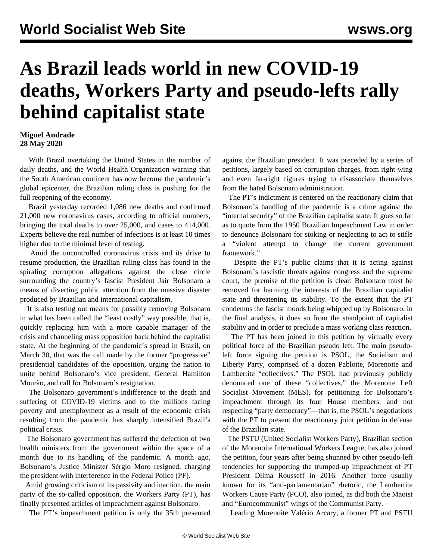## **As Brazil leads world in new COVID-19 deaths, Workers Party and pseudo-lefts rally behind capitalist state**

## **Miguel Andrade 28 May 2020**

 With Brazil overtaking the United States in the number of daily deaths, and the World Health Organization warning that the South American continent has now become the pandemic's global epicenter, the Brazilian ruling class is pushing for the full reopening of the economy.

 Brazil yesterday recorded 1,086 new deaths and confirmed 21,000 new coronavirus cases, according to official numbers, bringing the total deaths to over 25,000, and cases to 414,000. Experts believe the real number of infections is at least 10 times higher due to the minimal level of testing.

 Amid the uncontrolled coronavirus crisis and its drive to resume production, the Brazilian ruling class has found in the spiraling corruption allegations against the close circle surrounding the country's fascist President Jair Bolsonaro a means of diverting public attention from the massive disaster produced by Brazilian and international capitalism.

 It is also testing out means for possibly removing Bolsonaro in what has been called the "least costly" way possible, that is, quickly replacing him with a more capable manager of the crisis and channeling mass opposition back behind the capitalist state. At the beginning of the pandemic's spread in Brazil, on March 30, that was the call made by the former "progressive" presidential candidates of the opposition, urging the nation to unite behind Bolsonaro's vice president, General Hamilton Mourão, and call for Bolsonaro's resignation.

 The Bolsonaro government's indifference to the death and suffering of COVID-19 victims and to the millions facing poverty and unemployment as a result of the economic crisis resulting from the pandemic has sharply intensified Brazil's political crisis.

 The Bolsonaro government has suffered the defection of two health ministers from the government within the space of a month due to its handling of the pandemic. A month ago, Bolsonaro's Justice Minister Sérgio Moro resigned, charging the president with interference in the Federal Police (PF).

 Amid growing criticism of its passivity and inaction, the main party of the so-called opposition, the Workers Party (PT), has finally presented articles of impeachment against Bolsonaro.

The PT's impeachment petition is only the 35th presented

against the Brazilian president. It was preceded by a series of petitions, largely based on corruption charges, from right-wing and even far-right figures trying to disassociate themselves from the hated Bolsonaro administration.

 The PT's indictment is centered on the reactionary claim that Bolsonaro's handling of the pandemic is a crime against the "internal security" of the Brazilian capitalist state. It goes so far as to quote from the 1950 Brazilian Impeachment Law in order to denounce Bolsonaro for stoking or neglecting to act to stifle a "violent attempt to change the current government framework."

 Despite the PT's public claims that it is acting against Bolsonaro's fascistic threats against congress and the supreme court, the premise of the petition is clear: Bolsonaro must be removed for harming the interests of the Brazilian capitalist state and threatening its stability. To the extent that the PT condemns the fascist moods being whipped up by Bolsonaro, in the final analysis, it does so from the standpoint of capitalist stability and in order to preclude a mass working class reaction.

 The PT has been joined in this petition by virtually every political force of the Brazilian pseudo left. The main pseudoleft force signing the petition is PSOL, the Socialism and Liberty Party, comprised of a dozen Pabloite, Morenoite and Lambertite "collectives." The PSOL had previously publicly denounced one of these "collectives," the Morenoite Left Socialist Movement (MES), for petitioning for Bolsonaro's impeachment through its four House members, and not respecting "party democracy"—that is, the PSOL's negotiations with the PT to present the reactionary joint petition in defense of the Brazilian state.

 The PSTU (United Socialist Workers Party), Brazilian section of the Morenoite International Workers League, has also joined the petition, four years after being shunned by other pseudo-left tendencies for supporting the trumped-up impeachment of PT President Dilma Rousseff in 2016. Another force usually known for its "anti-parlamentarian" rhetoric, the Lambertite Workers Cause Party (PCO), also joined, as did both the Maoist and "Eurocommunist" wings of the Communist Party.

Leading Morenoite Valério Arcary, a former PT and PSTU